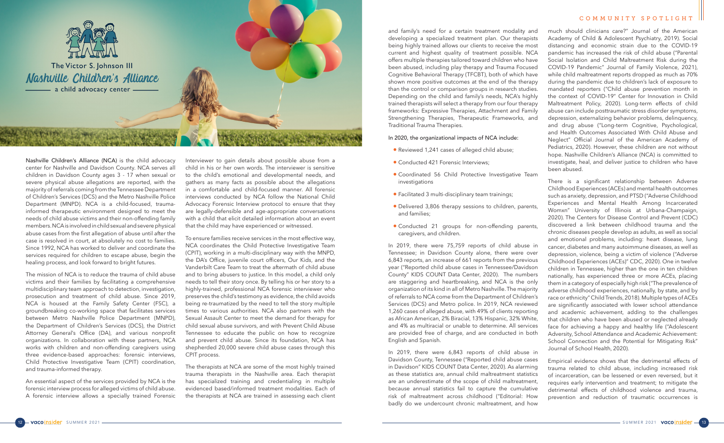

Nashville Children's Alliance (NCA) is the child advocacy center for Nashville and Davidson County. NCA serves all children in Davidson County ages 3 - 17 when sexual or severe physical abuse allegations are reported, with the majority of referrals coming from the Tennessee Department of Children's Services (DCS) and the Metro Nashville Police Department (MNPD). NCA is a child-focused, traumainformed therapeutic environment designed to meet the needs of child abuse victims and their non-offending family members. NCA is involved in child sexual and severe physical abuse cases from the first allegation of abuse until after the case is resolved in court, at absolutely no cost to families. Since 1992, NCA has worked to deliver and coordinate the services required for children to escape abuse, begin the healing process, and look forward to bright futures.

The mission of NCA is to reduce the trauma of child abuse victims and their families by facilitating a comprehensive multidisciplinary team approach to detection, investigation, prosecution and treatment of child abuse. Since 2019, NCA is housed at the Family Safety Center (FSC), a groundbreaking co-working space that facilitates services between Metro Nashville Police Department (MNPD), the Department of Children's Services (DCS), the District Attorney General's Office (DA), and various nonprofit organizations. In collaboration with these partners, NCA works with children and non-offending caregivers using three evidence-based approaches: forensic interviews, Child Protective Investigative Team (CPIT) coordination, and trauma-informed therapy.

An essential aspect of the services provided by NCA is the forensic interview process for alleged victims of child abuse. A forensic interview allows a specially trained Forensic Interviewer to gain details about possible abuse from a child in his or her own words. The interviewer is sensitive to the child's emotional and developmental needs, and gathers as many facts as possible about the allegations in a comfortable and child-focused manner. All forensic interviews conducted by NCA follow the National Child Advocacy Forensic Interview protocol to ensure that they are legally-defensible and age-appropriate conversations with a child that elicit detailed information about an event that the child may have experienced or witnessed.

To ensure families receive services in the most effective way, NCA coordinates the Child Protective Investigative Team (CPIT), working in a multi-disciplinary way with the MNPD, the DA's Office, juvenile court officers, Our Kids, and the Vanderbilt Care Team to treat the aftermath of child abuse and to bring abusers to justice. In this model, a child only needs to tell their story once. By telling his or her story to a highly-trained, professional NCA forensic interviewer who preserves the child's testimony as evidence, the child avoids being re-traumatized by the need to tell the story multiple times to various authorities. NCA also partners with the Sexual Assault Center to meet the demand for therapy for child sexual abuse survivors, and with Prevent Child Abuse Tennessee to educate the public on how to recognize and prevent child abuse. Since its foundation, NCA has shepherded 20,000 severe child abuse cases through this CPIT process.

The therapists at NCA are some of the most highly trained trauma therapists in the Nashville area. Each therapist has specialized training and credentialing in multiple evidenced based/informed treatment modalities. Each of the therapists at NCA are trained in assessing each client and family's need for a certain treatment modality and developing a specialized treatment plan. Our therapists being highly trained allows our clients to receive the most current and highest quality of treatment possible. NCA offers multiple therapies tailored toward children who have been abused, including play therapy and Trauma Focused Cognitive Behavioral Therapy (TFCBT), both of which have shown more positive outcomes at the end of the therapy than the control or comparison groups in research studies. Depending on the child and family's needs, NCA's highly trained therapists will select a therapy from our four therapy frameworks: Expressive Therapies, Attachment and Family Strengthening Therapies, Therapeutic Frameworks, and Traditional Trauma Therapies.

## In 2020, the organizational impacts of NCA include:

- *•* Reviewed 1,241 cases of alleged child abuse;
- Conducted 421 Forensic Interviews:
- *•* Coordinated 56 Child Protective Investigative Team investigations
- *•* Facilitated 3 multi-disciplinary team trainings;
- *•* Delivered 3,806 therapy sessions to children, parents, and families;
- *•* Conducted 21 groups for non-offending parents, caregivers, and children.

In 2019, there were 75,759 reports of child abuse in Tennessee; in Davidson County alone, there were over 6,843 reports, an increase of 661 reports from the previous year ("Reported child abuse cases in Tennessee/Davidson County" KIDS COUNT Data Center, 2020). The numbers are staggering and heartbreaking, and NCA is the only organization of its kind in all of Metro Nashville. The majority of referrals to NCA come from the Department of Children's Services (DCS) and Metro police. In 2019, NCA reviewed 1,260 cases of alleged abuse, with 49% of clients reporting as African American, 2% Biracial, 13% Hispanic, 32% White, and 4% as multiracial or unable to determine. All services are provided free of charge, and are conducted in both English and Spanish.

much should clinicians care?" Journal of the American Academy of Child & Adolescent Psychiatry, 2019). Social distancing and economic strain due to the COVID-19 pandemic has increased the risk of child abuse ("Parental Social Isolation and Child Maltreatment Risk during the COVID-19 Pandemic" Journal of Family Violence, 2021), while child maltreatment reports dropped as much as 70% during the pandemic due to children's lack of exposure to mandated reporters ("Child abuse prevention month in the context of COVID-19" Center for Innovation in Child Maltreatment Policy, 2020). Long-term effects of child abuse can include posttraumatic stress disorder symptoms, depression, externalizing behavior problems, delinquency, and drug abuse ("Long-term Cognitive, Psychological, and Health Outcomes Associated With Child Abuse and Neglect" Official Journal of the American Academy of Pediatrics, 2020). However, these children are not without hope. Nashville Children's Alliance (NCA) is committed to investigate, heal, and deliver justice to children who have been abused.

In 2019, there were 6,843 reports of child abuse in Davidson County, Tennessee ("Reported child abuse cases in Davidson" KIDS COUNT Data Center, 2020). As alarming as these statistics are, annual child maltreatment statistics are an underestimate of the scope of child maltreatment, because annual statistics fail to capture the cumulative risk of maltreatment across childhood ("Editorial: How badly do we undercount chronic maltreatment, and how Empirical evidence shows that the detrimental effects of trauma related to child abuse, including increased risk of incarceration, can be lessened or even reversed, but it requires early intervention and treatment; to mitigate the detrimental effects of childhood violence and trauma, prevention and reduction of traumatic occurrences is

There is a significant relationship between Adverse Childhood Experiences (ACEs) and mental health outcomes such as anxiety, depression, and PTSD ("Adverse Childhood Experiences and Mental Health Among Incarcerated Womxn" University of Illinois at Urbana-Champaign, 2020). The Centers for Disease Control and Prevent (CDC) discovered a link between childhood trauma and the chronic diseases people develop as adults, as well as social and emotional problems, including: heart disease, lung cancer, diabetes and many autoimmune diseases, as well as depression, violence, being a victim of violence ("Adverse Childhood Experiences (ACEs)" CDC, 2020). One in twelve children in Tennessee, higher than the one in ten children nationally, has experienced three or more ACEs, placing them in a category of especially high risk ("The prevalence of adverse childhood experiences, nationally, by state, and by race or ethnicity" Child Trends, 2018). Multiple types of ACEs are significantly associated with lower school attendance and academic achievement, adding to the challenges that children who have been abused or neglected already face for achieving a happy and healthy life ("Adolescent Adversity, School Attendance and Academic Achievement: School Connection and the Potential for Mitigating Risk" Journal of School Health, 2020).